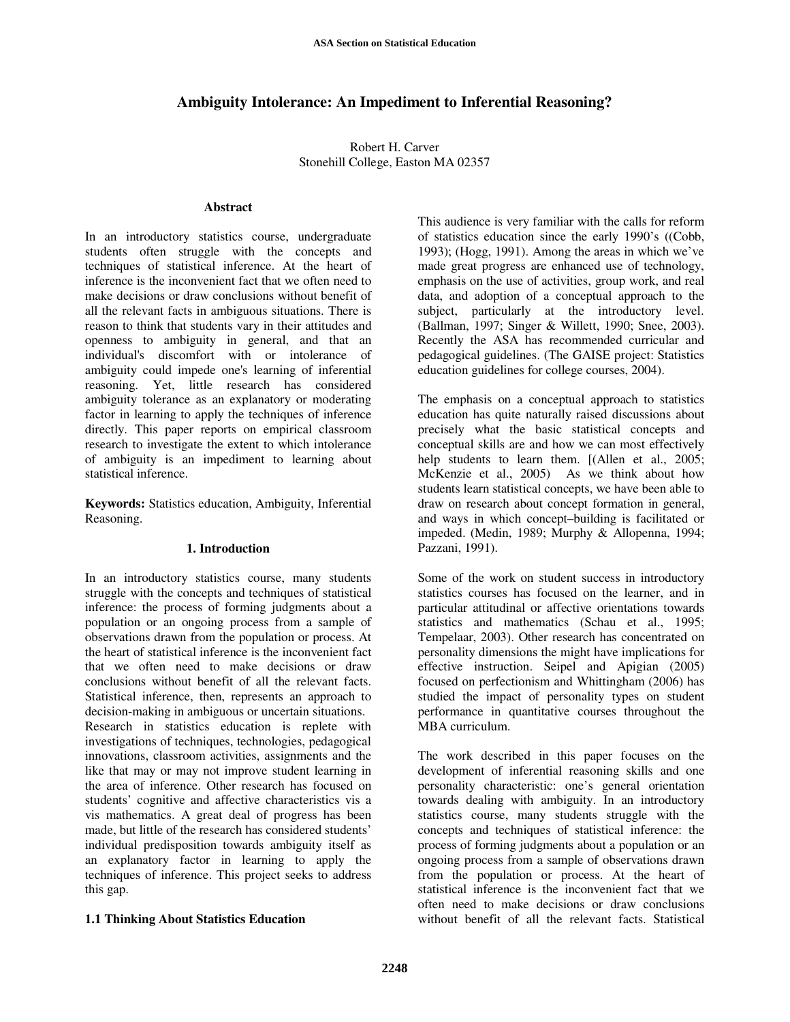# **Ambiguity Intolerance: An Impediment to Inferential Reasoning?**

Robert H. Carver Stonehill College, Easton MA 02357

#### **Abstract**

In an introductory statistics course, undergraduate students often struggle with the concepts and techniques of statistical inference. At the heart of inference is the inconvenient fact that we often need to make decisions or draw conclusions without benefit of all the relevant facts in ambiguous situations. There is reason to think that students vary in their attitudes and openness to ambiguity in general, and that an individual's discomfort with or intolerance of ambiguity could impede one's learning of inferential reasoning. Yet, little research has considered ambiguity tolerance as an explanatory or moderating factor in learning to apply the techniques of inference directly. This paper reports on empirical classroom research to investigate the extent to which intolerance of ambiguity is an impediment to learning about statistical inference.

**Keywords:** Statistics education, Ambiguity, Inferential Reasoning.

#### **1. Introduction**

In an introductory statistics course, many students struggle with the concepts and techniques of statistical inference: the process of forming judgments about a population or an ongoing process from a sample of observations drawn from the population or process. At the heart of statistical inference is the inconvenient fact that we often need to make decisions or draw conclusions without benefit of all the relevant facts. Statistical inference, then, represents an approach to decision-making in ambiguous or uncertain situations. Research in statistics education is replete with investigations of techniques, technologies, pedagogical innovations, classroom activities, assignments and the like that may or may not improve student learning in the area of inference. Other research has focused on students' cognitive and affective characteristics vis a vis mathematics. A great deal of progress has been made, but little of the research has considered students' individual predisposition towards ambiguity itself as an explanatory factor in learning to apply the techniques of inference. This project seeks to address this gap.

### **1.1 Thinking About Statistics Education**

This audience is very familiar with the calls for reform of statistics education since the early 1990's ((Cobb, 1993); (Hogg, 1991). Among the areas in which we've made great progress are enhanced use of technology, emphasis on the use of activities, group work, and real data, and adoption of a conceptual approach to the subject, particularly at the introductory level. (Ballman, 1997; Singer & Willett, 1990; Snee, 2003). Recently the ASA has recommended curricular and pedagogical guidelines. (The GAISE project: Statistics education guidelines for college courses, 2004).

The emphasis on a conceptual approach to statistics education has quite naturally raised discussions about precisely what the basic statistical concepts and conceptual skills are and how we can most effectively help students to learn them. [(Allen et al., 2005; McKenzie et al., 2005) As we think about how students learn statistical concepts, we have been able to draw on research about concept formation in general, and ways in which concept–building is facilitated or impeded. (Medin, 1989; Murphy & Allopenna, 1994; Pazzani, 1991).

Some of the work on student success in introductory statistics courses has focused on the learner, and in particular attitudinal or affective orientations towards statistics and mathematics (Schau et al., 1995; Tempelaar, 2003). Other research has concentrated on personality dimensions the might have implications for effective instruction. Seipel and Apigian (2005) focused on perfectionism and Whittingham (2006) has studied the impact of personality types on student performance in quantitative courses throughout the MBA curriculum.

The work described in this paper focuses on the development of inferential reasoning skills and one personality characteristic: one's general orientation towards dealing with ambiguity. In an introductory statistics course, many students struggle with the concepts and techniques of statistical inference: the process of forming judgments about a population or an ongoing process from a sample of observations drawn from the population or process. At the heart of statistical inference is the inconvenient fact that we often need to make decisions or draw conclusions without benefit of all the relevant facts. Statistical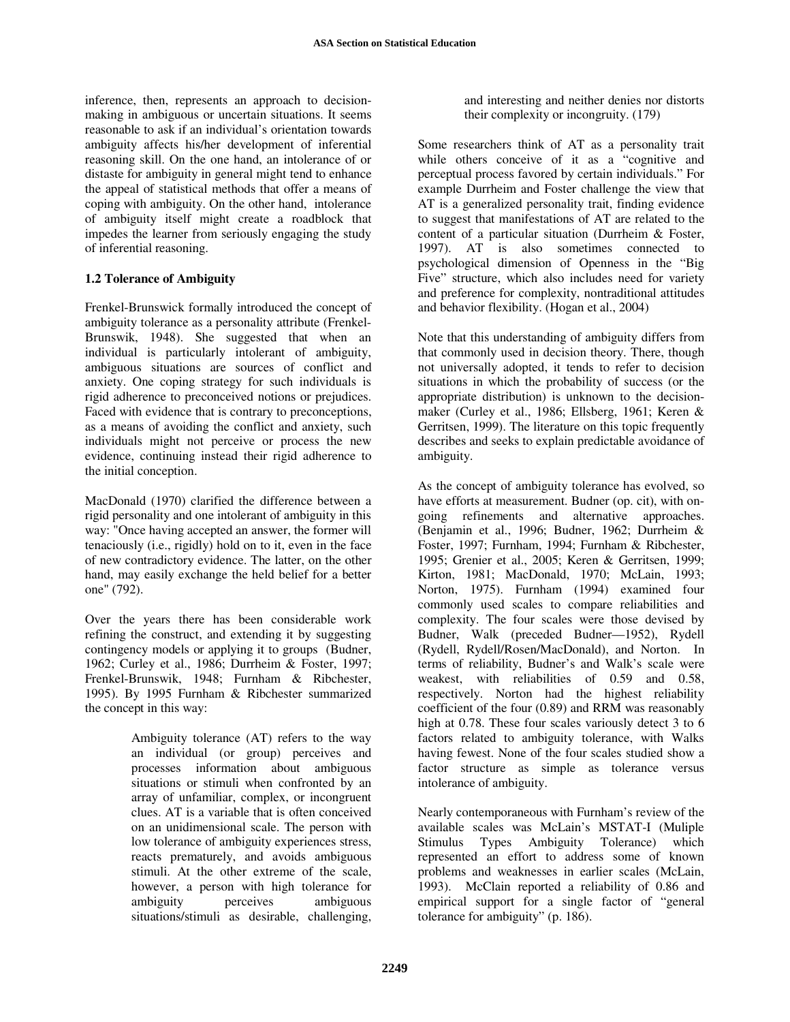inference, then, represents an approach to decisionmaking in ambiguous or uncertain situations. It seems reasonable to ask if an individual's orientation towards ambiguity affects his/her development of inferential reasoning skill. On the one hand, an intolerance of or distaste for ambiguity in general might tend to enhance the appeal of statistical methods that offer a means of coping with ambiguity. On the other hand, intolerance of ambiguity itself might create a roadblock that impedes the learner from seriously engaging the study of inferential reasoning.

# **1.2 Tolerance of Ambiguity**

Frenkel-Brunswick formally introduced the concept of ambiguity tolerance as a personality attribute (Frenkel-Brunswik, 1948). She suggested that when an individual is particularly intolerant of ambiguity, ambiguous situations are sources of conflict and anxiety. One coping strategy for such individuals is rigid adherence to preconceived notions or prejudices. Faced with evidence that is contrary to preconceptions, as a means of avoiding the conflict and anxiety, such individuals might not perceive or process the new evidence, continuing instead their rigid adherence to the initial conception.

MacDonald (1970) clarified the difference between a rigid personality and one intolerant of ambiguity in this way: "Once having accepted an answer, the former will tenaciously (i.e., rigidly) hold on to it, even in the face of new contradictory evidence. The latter, on the other hand, may easily exchange the held belief for a better one" (792).

Over the years there has been considerable work refining the construct, and extending it by suggesting contingency models or applying it to groups (Budner, 1962; Curley et al., 1986; Durrheim & Foster, 1997; Frenkel-Brunswik, 1948; Furnham & Ribchester, 1995). By 1995 Furnham & Ribchester summarized the concept in this way:

> Ambiguity tolerance (AT) refers to the way an individual (or group) perceives and processes information about ambiguous situations or stimuli when confronted by an array of unfamiliar, complex, or incongruent clues. AT is a variable that is often conceived on an unidimensional scale. The person with low tolerance of ambiguity experiences stress, reacts prematurely, and avoids ambiguous stimuli. At the other extreme of the scale, however, a person with high tolerance for ambiguity perceives ambiguous situations/stimuli as desirable, challenging,

and interesting and neither denies nor distorts their complexity or incongruity. (179)

Some researchers think of AT as a personality trait while others conceive of it as a "cognitive and perceptual process favored by certain individuals." For example Durrheim and Foster challenge the view that AT is a generalized personality trait, finding evidence to suggest that manifestations of AT are related to the content of a particular situation (Durrheim & Foster, 1997). AT is also sometimes connected to psychological dimension of Openness in the "Big Five" structure, which also includes need for variety and preference for complexity, nontraditional attitudes and behavior flexibility. (Hogan et al., 2004)

Note that this understanding of ambiguity differs from that commonly used in decision theory. There, though not universally adopted, it tends to refer to decision situations in which the probability of success (or the appropriate distribution) is unknown to the decisionmaker (Curley et al., 1986; Ellsberg, 1961; Keren & Gerritsen, 1999). The literature on this topic frequently describes and seeks to explain predictable avoidance of ambiguity.

As the concept of ambiguity tolerance has evolved, so have efforts at measurement. Budner (op. cit), with ongoing refinements and alternative approaches. (Benjamin et al., 1996; Budner, 1962; Durrheim & Foster, 1997; Furnham, 1994; Furnham & Ribchester, 1995; Grenier et al., 2005; Keren & Gerritsen, 1999; Kirton, 1981; MacDonald, 1970; McLain, 1993; Norton, 1975). Furnham (1994) examined four commonly used scales to compare reliabilities and complexity. The four scales were those devised by Budner, Walk (preceded Budner—1952), Rydell (Rydell, Rydell/Rosen/MacDonald), and Norton. In terms of reliability, Budner's and Walk's scale were weakest, with reliabilities of 0.59 and 0.58, respectively. Norton had the highest reliability coefficient of the four (0.89) and RRM was reasonably high at 0.78. These four scales variously detect 3 to 6 factors related to ambiguity tolerance, with Walks having fewest. None of the four scales studied show a factor structure as simple as tolerance versus intolerance of ambiguity.

Nearly contemporaneous with Furnham's review of the available scales was McLain's MSTAT-I (Muliple Stimulus Types Ambiguity Tolerance) which represented an effort to address some of known problems and weaknesses in earlier scales (McLain, 1993). McClain reported a reliability of 0.86 and empirical support for a single factor of "general tolerance for ambiguity" (p. 186).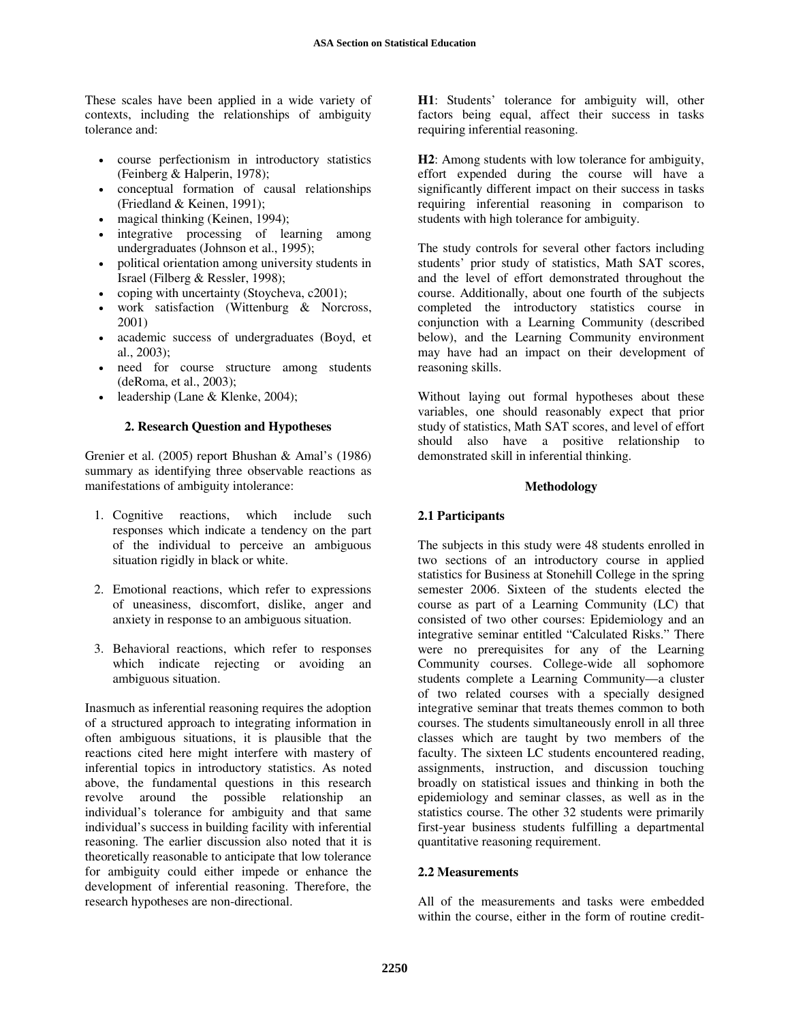These scales have been applied in a wide variety of contexts, including the relationships of ambiguity tolerance and:

- course perfectionism in introductory statistics (Feinberg & Halperin, 1978);
- conceptual formation of causal relationships (Friedland & Keinen, 1991);
- magical thinking (Keinen, 1994);
- integrative processing of learning among undergraduates (Johnson et al., 1995);
- political orientation among university students in Israel (Filberg & Ressler, 1998);
- coping with uncertainty (Stoycheva, c2001);
- work satisfaction (Wittenburg & Norcross, 2001)
- academic success of undergraduates (Boyd, et al., 2003);
- need for course structure among students (deRoma, et al., 2003);
- leadership (Lane & Klenke, 2004);

### **2. Research Question and Hypotheses**

Grenier et al. (2005) report Bhushan & Amal's (1986) summary as identifying three observable reactions as manifestations of ambiguity intolerance:

- 1. Cognitive reactions, which include such responses which indicate a tendency on the part of the individual to perceive an ambiguous situation rigidly in black or white.
- 2. Emotional reactions, which refer to expressions of uneasiness, discomfort, dislike, anger and anxiety in response to an ambiguous situation.
- 3. Behavioral reactions, which refer to responses which indicate rejecting or avoiding an ambiguous situation.

Inasmuch as inferential reasoning requires the adoption of a structured approach to integrating information in often ambiguous situations, it is plausible that the reactions cited here might interfere with mastery of inferential topics in introductory statistics. As noted above, the fundamental questions in this research revolve around the possible relationship an individual's tolerance for ambiguity and that same individual's success in building facility with inferential reasoning. The earlier discussion also noted that it is theoretically reasonable to anticipate that low tolerance for ambiguity could either impede or enhance the development of inferential reasoning. Therefore, the research hypotheses are non-directional.

**H1**: Students' tolerance for ambiguity will, other factors being equal, affect their success in tasks requiring inferential reasoning.

**H2**: Among students with low tolerance for ambiguity, effort expended during the course will have a significantly different impact on their success in tasks requiring inferential reasoning in comparison to students with high tolerance for ambiguity.

The study controls for several other factors including students' prior study of statistics, Math SAT scores, and the level of effort demonstrated throughout the course. Additionally, about one fourth of the subjects completed the introductory statistics course in conjunction with a Learning Community (described below), and the Learning Community environment may have had an impact on their development of reasoning skills.

Without laying out formal hypotheses about these variables, one should reasonably expect that prior study of statistics, Math SAT scores, and level of effort should also have a positive relationship to demonstrated skill in inferential thinking.

### **Methodology**

### **2.1 Participants**

The subjects in this study were 48 students enrolled in two sections of an introductory course in applied statistics for Business at Stonehill College in the spring semester 2006. Sixteen of the students elected the course as part of a Learning Community (LC) that consisted of two other courses: Epidemiology and an integrative seminar entitled "Calculated Risks." There were no prerequisites for any of the Learning Community courses. College-wide all sophomore students complete a Learning Community—a cluster of two related courses with a specially designed integrative seminar that treats themes common to both courses. The students simultaneously enroll in all three classes which are taught by two members of the faculty. The sixteen LC students encountered reading, assignments, instruction, and discussion touching broadly on statistical issues and thinking in both the epidemiology and seminar classes, as well as in the statistics course. The other 32 students were primarily first-year business students fulfilling a departmental quantitative reasoning requirement.

### **2.2 Measurements**

All of the measurements and tasks were embedded within the course, either in the form of routine credit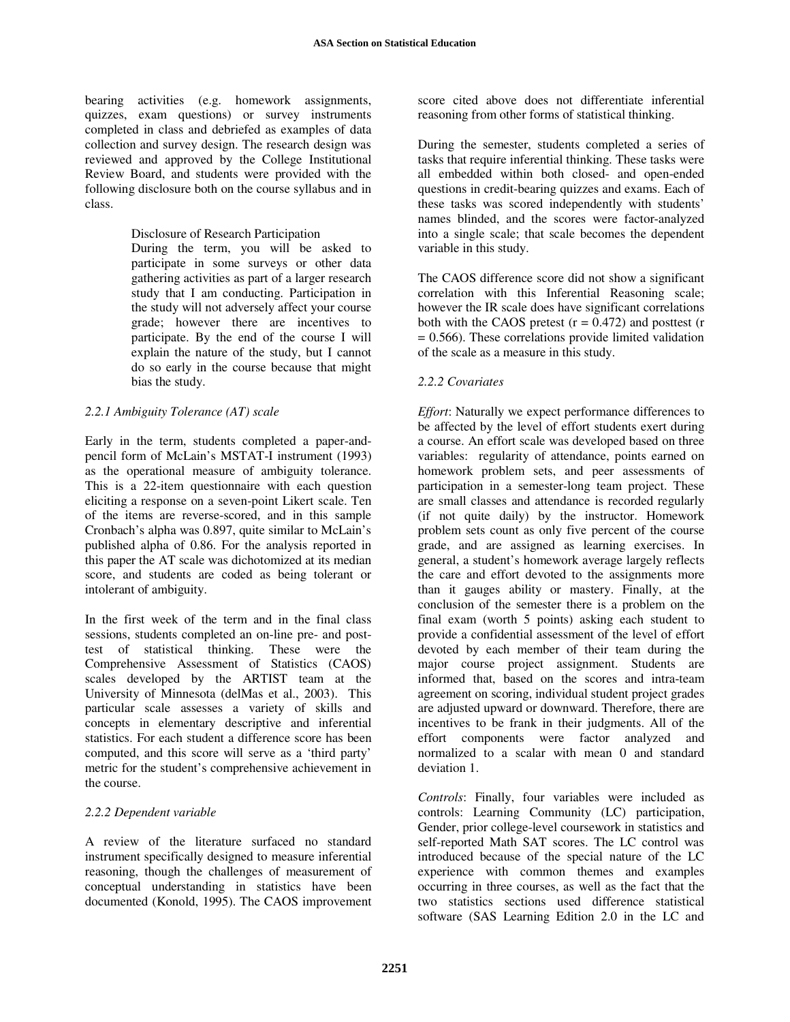bearing activities (e.g. homework assignments, quizzes, exam questions) or survey instruments completed in class and debriefed as examples of data collection and survey design. The research design was reviewed and approved by the College Institutional Review Board, and students were provided with the following disclosure both on the course syllabus and in class.

### Disclosure of Research Participation

During the term, you will be asked to participate in some surveys or other data gathering activities as part of a larger research study that I am conducting. Participation in the study will not adversely affect your course grade; however there are incentives to participate. By the end of the course I will explain the nature of the study, but I cannot do so early in the course because that might bias the study.

### *2.2.1 Ambiguity Tolerance (AT) scale*

Early in the term, students completed a paper-andpencil form of McLain's MSTAT-I instrument (1993) as the operational measure of ambiguity tolerance. This is a 22-item questionnaire with each question eliciting a response on a seven-point Likert scale. Ten of the items are reverse-scored, and in this sample Cronbach's alpha was 0.897, quite similar to McLain's published alpha of 0.86. For the analysis reported in this paper the AT scale was dichotomized at its median score, and students are coded as being tolerant or intolerant of ambiguity.

In the first week of the term and in the final class sessions, students completed an on-line pre- and posttest of statistical thinking. These were the Comprehensive Assessment of Statistics (CAOS) scales developed by the ARTIST team at the University of Minnesota (delMas et al., 2003). This particular scale assesses a variety of skills and concepts in elementary descriptive and inferential statistics. For each student a difference score has been computed, and this score will serve as a 'third party' metric for the student's comprehensive achievement in the course.

### *2.2.2 Dependent variable*

A review of the literature surfaced no standard instrument specifically designed to measure inferential reasoning, though the challenges of measurement of conceptual understanding in statistics have been documented (Konold, 1995). The CAOS improvement

score cited above does not differentiate inferential reasoning from other forms of statistical thinking.

During the semester, students completed a series of tasks that require inferential thinking. These tasks were all embedded within both closed- and open-ended questions in credit-bearing quizzes and exams. Each of these tasks was scored independently with students' names blinded, and the scores were factor-analyzed into a single scale; that scale becomes the dependent variable in this study.

The CAOS difference score did not show a significant correlation with this Inferential Reasoning scale; however the IR scale does have significant correlations both with the CAOS pretest  $(r = 0.472)$  and posttest  $(r = 0.472)$  $= 0.566$ ). These correlations provide limited validation of the scale as a measure in this study.

### *2.2.2 Covariates*

*Effort*: Naturally we expect performance differences to be affected by the level of effort students exert during a course. An effort scale was developed based on three variables: regularity of attendance, points earned on homework problem sets, and peer assessments of participation in a semester-long team project. These are small classes and attendance is recorded regularly (if not quite daily) by the instructor. Homework problem sets count as only five percent of the course grade, and are assigned as learning exercises. In general, a student's homework average largely reflects the care and effort devoted to the assignments more than it gauges ability or mastery. Finally, at the conclusion of the semester there is a problem on the final exam (worth 5 points) asking each student to provide a confidential assessment of the level of effort devoted by each member of their team during the major course project assignment. Students are informed that, based on the scores and intra-team agreement on scoring, individual student project grades are adjusted upward or downward. Therefore, there are incentives to be frank in their judgments. All of the effort components were factor analyzed and normalized to a scalar with mean 0 and standard deviation 1.

*Controls*: Finally, four variables were included as controls: Learning Community (LC) participation, Gender, prior college-level coursework in statistics and self-reported Math SAT scores. The LC control was introduced because of the special nature of the LC experience with common themes and examples occurring in three courses, as well as the fact that the two statistics sections used difference statistical software (SAS Learning Edition 2.0 in the LC and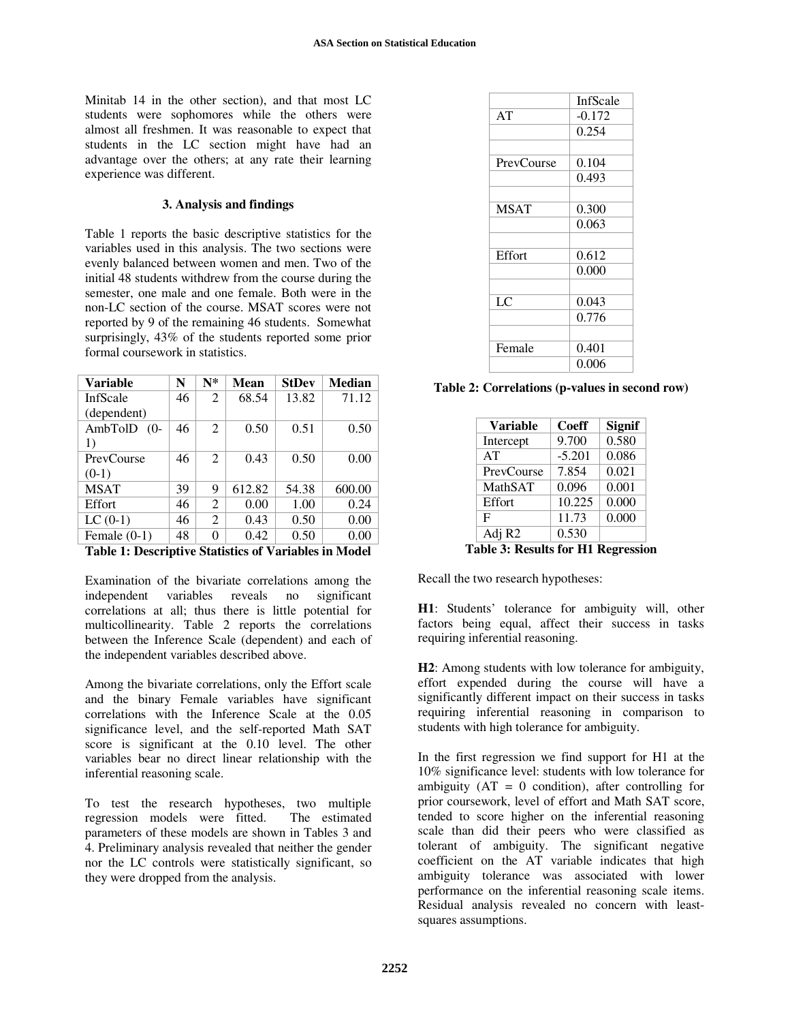Minitab 14 in the other section), and that most LC students were sophomores while the others were almost all freshmen. It was reasonable to expect that students in the LC section might have had an advantage over the others; at any rate their learning experience was different.

#### **3. Analysis and findings**

Table 1 reports the basic descriptive statistics for the variables used in this analysis. The two sections were evenly balanced between women and men. Two of the initial 48 students withdrew from the course during the semester, one male and one female. Both were in the non-LC section of the course. MSAT scores were not reported by 9 of the remaining 46 students. Somewhat surprisingly, 43% of the students reported some prior formal coursework in statistics.

| <b>Variable</b>   | N  | $N^*$          | <b>Mean</b> | <b>StDev</b> | Median |
|-------------------|----|----------------|-------------|--------------|--------|
| InfScale          | 46 | 2              | 68.54       | 13.82        | 71.12  |
| (dependent)       |    |                |             |              |        |
| AmbTolD<br>$(0 -$ | 46 | 2              | 0.50        | 0.51         | 0.50   |
| 1)                |    |                |             |              |        |
| PrevCourse        | 46 | 2              | 0.43        | 0.50         | 0.00   |
| $(0-1)$           |    |                |             |              |        |
| <b>MSAT</b>       | 39 | 9              | 612.82      | 54.38        | 600.00 |
| Effort            | 46 | $\overline{c}$ | 0.00        | 1.00         | 0.24   |
| $LC(0-1)$         | 46 | $\overline{c}$ | 0.43        | 0.50         | 0.00   |
| Female $(0-1)$    | 48 | 0              | 0.42        | 0.50         | 0.00   |
| -----             | .  | $-1$ . $-1$    | $\sim -1$   | . .          |        |

**Table 1: Descriptive Statistics of Variables in Model** 

Examination of the bivariate correlations among the independent variables reveals no significant correlations at all; thus there is little potential for multicollinearity. Table 2 reports the correlations between the Inference Scale (dependent) and each of the independent variables described above.

Among the bivariate correlations, only the Effort scale and the binary Female variables have significant correlations with the Inference Scale at the 0.05 significance level, and the self-reported Math SAT score is significant at the 0.10 level. The other variables bear no direct linear relationship with the inferential reasoning scale.

To test the research hypotheses, two multiple regression models were fitted. The estimated parameters of these models are shown in Tables 3 and 4. Preliminary analysis revealed that neither the gender nor the LC controls were statistically significant, so they were dropped from the analysis.

|             | InfScale |  |
|-------------|----------|--|
| AT          | $-0.172$ |  |
|             | 0.254    |  |
|             |          |  |
| PrevCourse  | 0.104    |  |
|             | 0.493    |  |
|             |          |  |
| <b>MSAT</b> | 0.300    |  |
|             | 0.063    |  |
|             |          |  |
| Effort      | 0.612    |  |
|             | 0.000    |  |
|             |          |  |
| LC          | 0.043    |  |
|             | 0.776    |  |
|             |          |  |
| Female      | 0.401    |  |
|             | 0.006    |  |

**Table 2: Correlations (p-values in second row)** 

| <b>Variable</b>    | Coeff    | <b>Signif</b> |
|--------------------|----------|---------------|
| Intercept          | 9.700    | 0.580         |
| AT                 | $-5.201$ | 0.086         |
| PrevCourse         | 7.854    | 0.021         |
| <b>MathSAT</b>     | 0.096    | 0.001         |
| Effort             | 10.225   | 0.000         |
| F                  | 11.73    | 0.000         |
| Adj R <sub>2</sub> | 0.530    |               |

**Table 3: Results for H1 Regression** 

Recall the two research hypotheses:

**H1**: Students' tolerance for ambiguity will, other factors being equal, affect their success in tasks requiring inferential reasoning.

**H2**: Among students with low tolerance for ambiguity, effort expended during the course will have a significantly different impact on their success in tasks requiring inferential reasoning in comparison to students with high tolerance for ambiguity.

In the first regression we find support for H1 at the 10% significance level: students with low tolerance for ambiguity  $(AT = 0$  condition), after controlling for prior coursework, level of effort and Math SAT score, tended to score higher on the inferential reasoning scale than did their peers who were classified as tolerant of ambiguity. The significant negative coefficient on the AT variable indicates that high ambiguity tolerance was associated with lower performance on the inferential reasoning scale items. Residual analysis revealed no concern with leastsquares assumptions.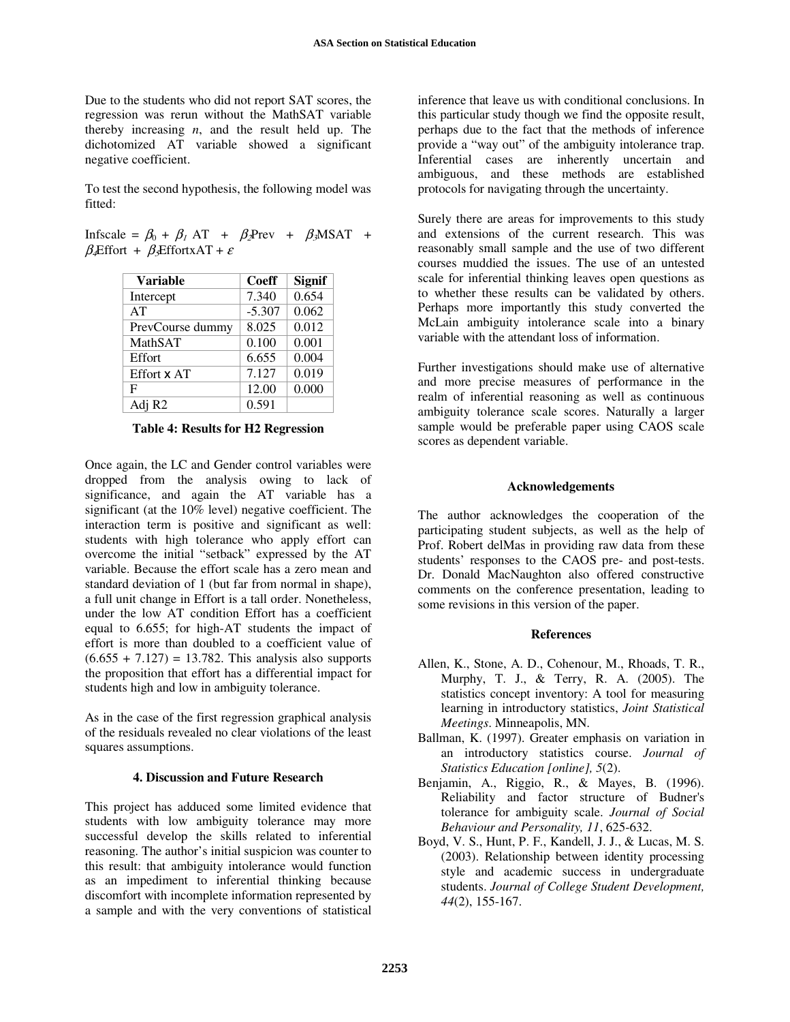Due to the students who did not report SAT scores, the regression was rerun without the MathSAT variable thereby increasing *n*, and the result held up. The dichotomized AT variable showed a significant negative coefficient.

To test the second hypothesis, the following model was fitted:

Infscale =  $\beta_0 + \beta_1$  AT +  $\beta_2$ Prev +  $\beta_3$ MSAT +  $\beta$ **Effort +**  $\beta$ EffortxAT +  $\varepsilon$ 

| <b>Variable</b>    | <b>Coeff</b> | <b>Signif</b> |
|--------------------|--------------|---------------|
| Intercept          | 7.340        | 0.654         |
| AT                 | $-5.307$     | 0.062         |
| PrevCourse dummy   | 8.025        | 0.012         |
| MathSAT            | 0.100        | 0.001         |
| Effort             | 6.655        | 0.004         |
| Effort x AT        | 7.127        | 0.019         |
| F                  | 12.00        | 0.000         |
| Adj R <sub>2</sub> | 0.591        |               |

**Table 4: Results for H2 Regression** 

Once again, the LC and Gender control variables were dropped from the analysis owing to lack of significance, and again the AT variable has a significant (at the 10% level) negative coefficient. The interaction term is positive and significant as well: students with high tolerance who apply effort can overcome the initial "setback" expressed by the AT variable. Because the effort scale has a zero mean and standard deviation of 1 (but far from normal in shape), a full unit change in Effort is a tall order. Nonetheless, under the low AT condition Effort has a coefficient equal to 6.655; for high-AT students the impact of effort is more than doubled to a coefficient value of  $(6.655 + 7.127) = 13.782$ . This analysis also supports the proposition that effort has a differential impact for students high and low in ambiguity tolerance.

As in the case of the first regression graphical analysis of the residuals revealed no clear violations of the least squares assumptions.

### **4. Discussion and Future Research**

This project has adduced some limited evidence that students with low ambiguity tolerance may more successful develop the skills related to inferential reasoning. The author's initial suspicion was counter to this result: that ambiguity intolerance would function as an impediment to inferential thinking because discomfort with incomplete information represented by a sample and with the very conventions of statistical

inference that leave us with conditional conclusions. In this particular study though we find the opposite result, perhaps due to the fact that the methods of inference provide a "way out" of the ambiguity intolerance trap. Inferential cases are inherently uncertain and ambiguous, and these methods are established protocols for navigating through the uncertainty.

Surely there are areas for improvements to this study and extensions of the current research. This was reasonably small sample and the use of two different courses muddied the issues. The use of an untested scale for inferential thinking leaves open questions as to whether these results can be validated by others. Perhaps more importantly this study converted the McLain ambiguity intolerance scale into a binary variable with the attendant loss of information.

Further investigations should make use of alternative and more precise measures of performance in the realm of inferential reasoning as well as continuous ambiguity tolerance scale scores. Naturally a larger sample would be preferable paper using CAOS scale scores as dependent variable.

# **Acknowledgements**

The author acknowledges the cooperation of the participating student subjects, as well as the help of Prof. Robert delMas in providing raw data from these students' responses to the CAOS pre- and post-tests. Dr. Donald MacNaughton also offered constructive comments on the conference presentation, leading to some revisions in this version of the paper.

### **References**

- Allen, K., Stone, A. D., Cohenour, M., Rhoads, T. R., Murphy, T. J., & Terry, R. A. (2005). The statistics concept inventory: A tool for measuring learning in introductory statistics, *Joint Statistical Meetings*. Minneapolis, MN.
- Ballman, K. (1997). Greater emphasis on variation in an introductory statistics course. *Journal of Statistics Education [online], 5*(2).
- Benjamin, A., Riggio, R., & Mayes, B. (1996). Reliability and factor structure of Budner's tolerance for ambiguity scale. *Journal of Social Behaviour and Personality, 11*, 625-632.
- Boyd, V. S., Hunt, P. F., Kandell, J. J., & Lucas, M. S. (2003). Relationship between identity processing style and academic success in undergraduate students. *Journal of College Student Development, 44*(2), 155-167.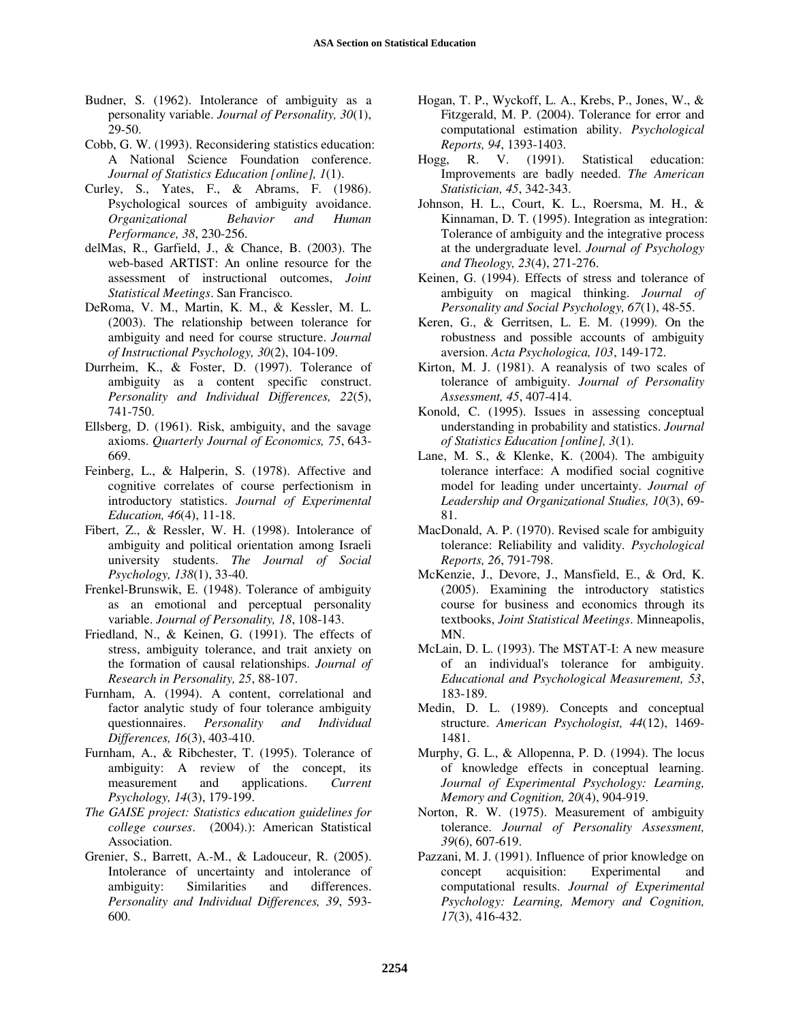- Budner, S. (1962). Intolerance of ambiguity as a personality variable. *Journal of Personality, 30*(1), 29-50.
- Cobb, G. W. (1993). Reconsidering statistics education: A National Science Foundation conference. *Journal of Statistics Education [online], 1*(1).
- Curley, S., Yates, F., & Abrams, F. (1986). Psychological sources of ambiguity avoidance. *Organizational Behavior and Human Performance, 38*, 230-256.
- delMas, R., Garfield, J., & Chance, B. (2003). The web-based ARTIST: An online resource for the assessment of instructional outcomes, *Joint Statistical Meetings*. San Francisco.
- DeRoma, V. M., Martin, K. M., & Kessler, M. L. (2003). The relationship between tolerance for ambiguity and need for course structure. *Journal of Instructional Psychology, 30*(2), 104-109.
- Durrheim, K., & Foster, D. (1997). Tolerance of ambiguity as a content specific construct. *Personality and Individual Differences, 22*(5), 741-750.
- Ellsberg, D. (1961). Risk, ambiguity, and the savage axioms. *Quarterly Journal of Economics, 75*, 643- 669.
- Feinberg, L., & Halperin, S. (1978). Affective and cognitive correlates of course perfectionism in introductory statistics. *Journal of Experimental Education, 46*(4), 11-18.
- Fibert, Z., & Ressler, W. H. (1998). Intolerance of ambiguity and political orientation among Israeli university students. *The Journal of Social Psychology, 138*(1), 33-40.
- Frenkel-Brunswik, E. (1948). Tolerance of ambiguity as an emotional and perceptual personality variable. *Journal of Personality, 18*, 108-143.
- Friedland, N., & Keinen, G. (1991). The effects of stress, ambiguity tolerance, and trait anxiety on the formation of causal relationships. *Journal of Research in Personality, 25*, 88-107.
- Furnham, A. (1994). A content, correlational and factor analytic study of four tolerance ambiguity questionnaires. *Personality and Individual Differences, 16*(3), 403-410.
- Furnham, A., & Ribchester, T. (1995). Tolerance of ambiguity: A review of the concept, its measurement and applications. *Current Psychology, 14*(3), 179-199.
- *The GAISE project: Statistics education guidelines for college courses*. (2004).): American Statistical Association.
- Grenier, S., Barrett, A.-M., & Ladouceur, R. (2005). Intolerance of uncertainty and intolerance of ambiguity: Similarities and differences. *Personality and Individual Differences, 39*, 593- 600.
- Hogan, T. P., Wyckoff, L. A., Krebs, P., Jones, W., & Fitzgerald, M. P. (2004). Tolerance for error and computational estimation ability. *Psychological Reports, 94*, 1393-1403.
- Hogg, R. V. (1991). Statistical education: Improvements are badly needed. *The American Statistician, 45*, 342-343.
- Johnson, H. L., Court, K. L., Roersma, M. H., & Kinnaman, D. T. (1995). Integration as integration: Tolerance of ambiguity and the integrative process at the undergraduate level. *Journal of Psychology and Theology, 23*(4), 271-276.
- Keinen, G. (1994). Effects of stress and tolerance of ambiguity on magical thinking. *Journal of Personality and Social Psychology, 67*(1), 48-55.
- Keren, G., & Gerritsen, L. E. M. (1999). On the robustness and possible accounts of ambiguity aversion. *Acta Psychologica, 103*, 149-172.
- Kirton, M. J. (1981). A reanalysis of two scales of tolerance of ambiguity. *Journal of Personality Assessment, 45*, 407-414.
- Konold, C. (1995). Issues in assessing conceptual understanding in probability and statistics. *Journal of Statistics Education [online], 3*(1).
- Lane, M. S., & Klenke, K. (2004). The ambiguity tolerance interface: A modified social cognitive model for leading under uncertainty. *Journal of Leadership and Organizational Studies, 10*(3), 69- 81.
- MacDonald, A. P. (1970). Revised scale for ambiguity tolerance: Reliability and validity. *Psychological Reports, 26*, 791-798.
- McKenzie, J., Devore, J., Mansfield, E., & Ord, K. (2005). Examining the introductory statistics course for business and economics through its textbooks, *Joint Statistical Meetings*. Minneapolis, MN.
- McLain, D. L. (1993). The MSTAT-I: A new measure of an individual's tolerance for ambiguity. *Educational and Psychological Measurement, 53*, 183-189.
- Medin, D. L. (1989). Concepts and conceptual structure. *American Psychologist, 44*(12), 1469- 1481.
- Murphy, G. L., & Allopenna, P. D. (1994). The locus of knowledge effects in conceptual learning. *Journal of Experimental Psychology: Learning, Memory and Cognition, 20*(4), 904-919.
- Norton, R. W. (1975). Measurement of ambiguity tolerance. *Journal of Personality Assessment, 39*(6), 607-619.
- Pazzani, M. J. (1991). Influence of prior knowledge on concept acquisition: Experimental and computational results. *Journal of Experimental Psychology: Learning, Memory and Cognition, 17*(3), 416-432.